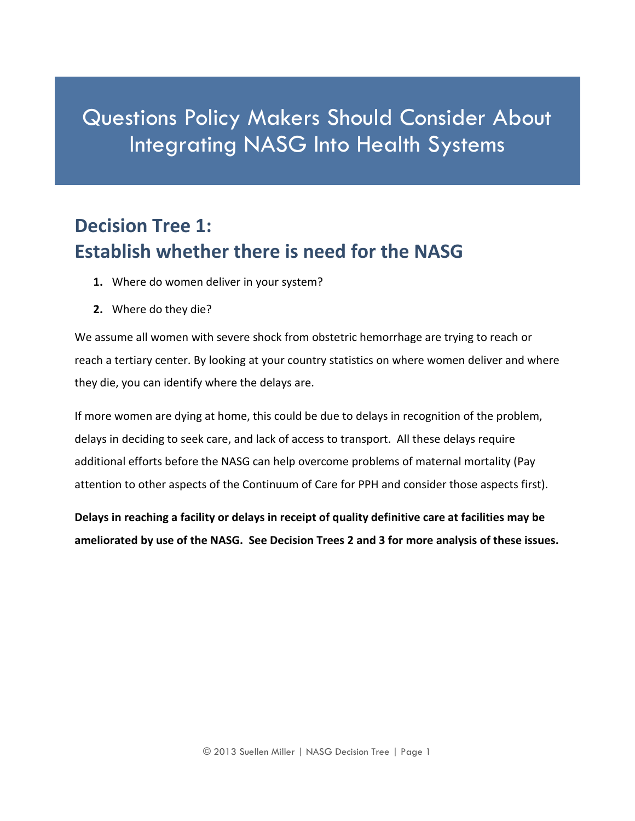# Questions Policy Makers Should Consider About Integrating NASG Into Health Systems

### **Decision Tree 1: Establish whether there is need for the NASG**

- **1.** Where do women deliver in your system?
- **2.** Where do they die?

We assume all women with severe shock from obstetric hemorrhage are trying to reach or reach a tertiary center. By looking at your country statistics on where women deliver and where they die, you can identify where the delays are.

If more women are dying at home, this could be due to delays in recognition of the problem, delays in deciding to seek care, and lack of access to transport. All these delays require additional efforts before the NASG can help overcome problems of maternal mortality (Pay attention to other aspects of the Continuum of Care for PPH and consider those aspects first).

**Delays in reaching a facility or delays in receipt of quality definitive care at facilities may be ameliorated by use of the NASG. See Decision Trees 2 and 3 for more analysis of these issues.**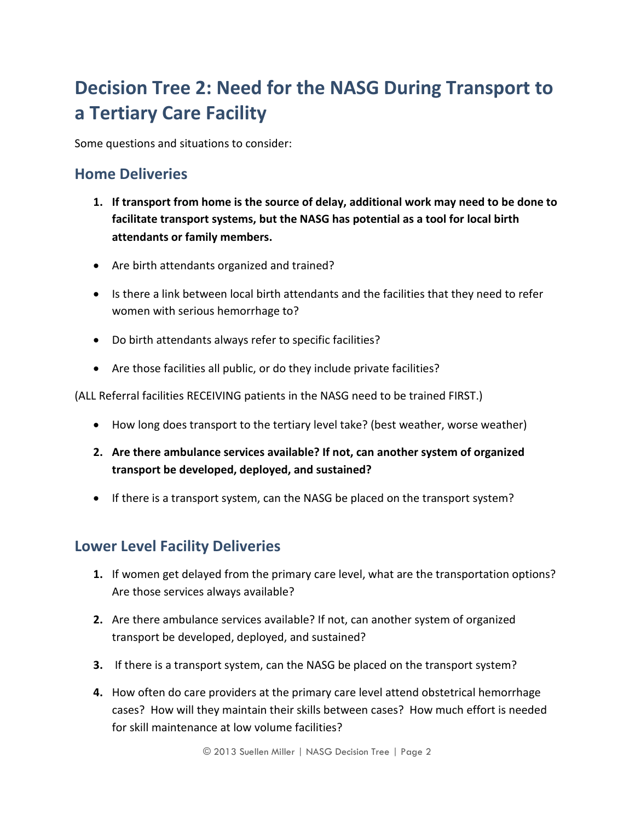## **Decision Tree 2: Need for the NASG During Transport to a Tertiary Care Facility**

Some questions and situations to consider:

#### **Home Deliveries**

- **1. If transport from home is the source of delay, additional work may need to be done to facilitate transport systems, but the NASG has potential as a tool for local birth attendants or family members.**
- Are birth attendants organized and trained?
- Is there a link between local birth attendants and the facilities that they need to refer women with serious hemorrhage to?
- Do birth attendants always refer to specific facilities?
- Are those facilities all public, or do they include private facilities?

(ALL Referral facilities RECEIVING patients in the NASG need to be trained FIRST.)

- How long does transport to the tertiary level take? (best weather, worse weather)
- **2. Are there ambulance services available? If not, can another system of organized transport be developed, deployed, and sustained?**
- If there is a transport system, can the NASG be placed on the transport system?

#### **Lower Level Facility Deliveries**

- **1.** If women get delayed from the primary care level, what are the transportation options? Are those services always available?
- **2.** Are there ambulance services available? If not, can another system of organized transport be developed, deployed, and sustained?
- **3.** If there is a transport system, can the NASG be placed on the transport system?
- **4.** How often do care providers at the primary care level attend obstetrical hemorrhage cases? How will they maintain their skills between cases? How much effort is needed for skill maintenance at low volume facilities?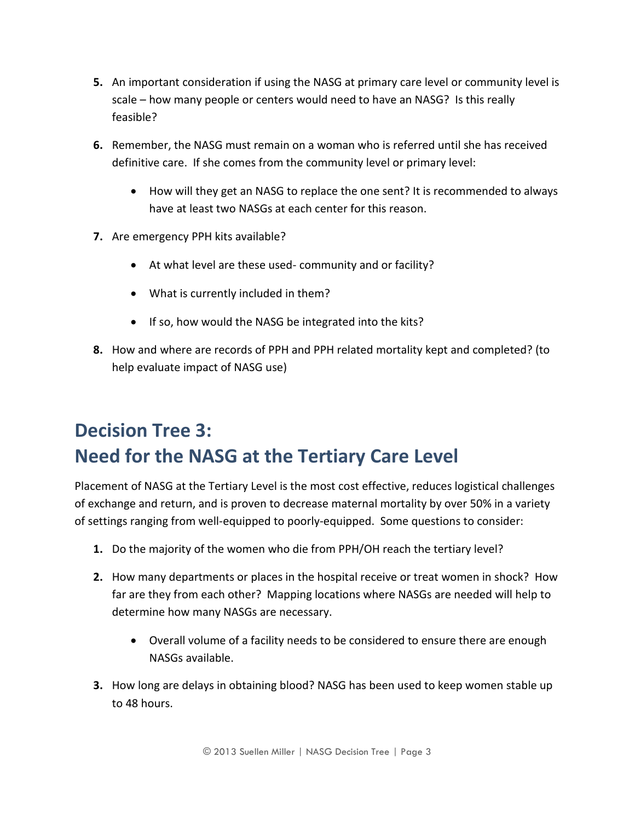- **5.** An important consideration if using the NASG at primary care level or community level is scale – how many people or centers would need to have an NASG? Is this really feasible?
- **6.** Remember, the NASG must remain on a woman who is referred until she has received definitive care. If she comes from the community level or primary level:
	- How will they get an NASG to replace the one sent? It is recommended to always have at least two NASGs at each center for this reason.
- **7.** Are emergency PPH kits available?
	- At what level are these used- community and or facility?
	- What is currently included in them?
	- If so, how would the NASG be integrated into the kits?
- **8.** How and where are records of PPH and PPH related mortality kept and completed? (to help evaluate impact of NASG use)

## **Decision Tree 3: Need for the NASG at the Tertiary Care Level**

Placement of NASG at the Tertiary Level is the most cost effective, reduces logistical challenges of exchange and return, and is proven to decrease maternal mortality by over 50% in a variety of settings ranging from well-equipped to poorly-equipped. Some questions to consider:

- **1.** Do the majority of the women who die from PPH/OH reach the tertiary level?
- **2.** How many departments or places in the hospital receive or treat women in shock? How far are they from each other? Mapping locations where NASGs are needed will help to determine how many NASGs are necessary.
	- Overall volume of a facility needs to be considered to ensure there are enough NASGs available.
- **3.** How long are delays in obtaining blood? NASG has been used to keep women stable up to 48 hours.